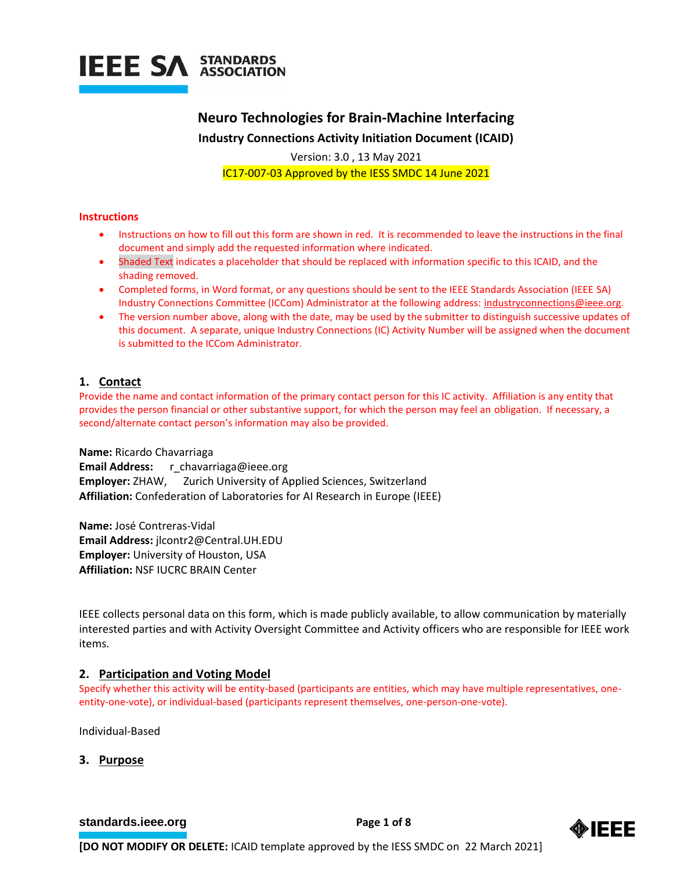

**Neuro Technologies for Brain-Machine Interfacing Industry Connections Activity Initiation Document (ICAID)**

Version: 3.0 , 13 May 2021 IC17-007-03 Approved by the IESS SMDC 14 June 2021

#### **Instructions**

- Instructions on how to fill out this form are shown in red. It is recommended to leave the instructions in the final document and simply add the requested information where indicated.
- Shaded Text indicates a placeholder that should be replaced with information specific to this ICAID, and the shading removed.
- Completed forms, in Word format, or any questions should be sent to the IEEE Standards Association (IEEE SA) Industry Connections Committee (ICCom) Administrator at the following address: [industryconnections@ieee.org.](mailto:industryconnections@ieee.org)
- The version number above, along with the date, may be used by the submitter to distinguish successive updates of this document. A separate, unique Industry Connections (IC) Activity Number will be assigned when the document is submitted to the ICCom Administrator.

## **1. Contact**

Provide the name and contact information of the primary contact person for this IC activity. Affiliation is any entity that provides the person financial or other substantive support, for which the person may feel an obligation. If necessary, a second/alternate contact person's information may also be provided.

**Name:** Ricardo Chavarriaga **Email Address:** r\_chavarriaga@ieee.org **Employer:** ZHAW, Zurich University of Applied Sciences, Switzerland **Affiliation:** Confederation of Laboratories for AI Research in Europe (IEEE)

**Name:** José Contreras-Vidal **Email Address:** jlcontr2@Central.UH.EDU **Employer:** University of Houston, USA **Affiliation:** NSF IUCRC BRAIN Center

IEEE collects personal data on this form, which is made publicly available, to allow communication by materially interested parties and with Activity Oversight Committee and Activity officers who are responsible for IEEE work items.

# **2. Participation and Voting Model**

Specify whether this activity will be entity-based (participants are entities, which may have multiple representatives, oneentity-one-vote), or individual-based (participants represent themselves, one-person-one-vote).

Individual-Based

### **3. Purpose**

**[standards.ieee.org](http://standards.ieee.org/) EXECUTE: Page 1 of 8** 

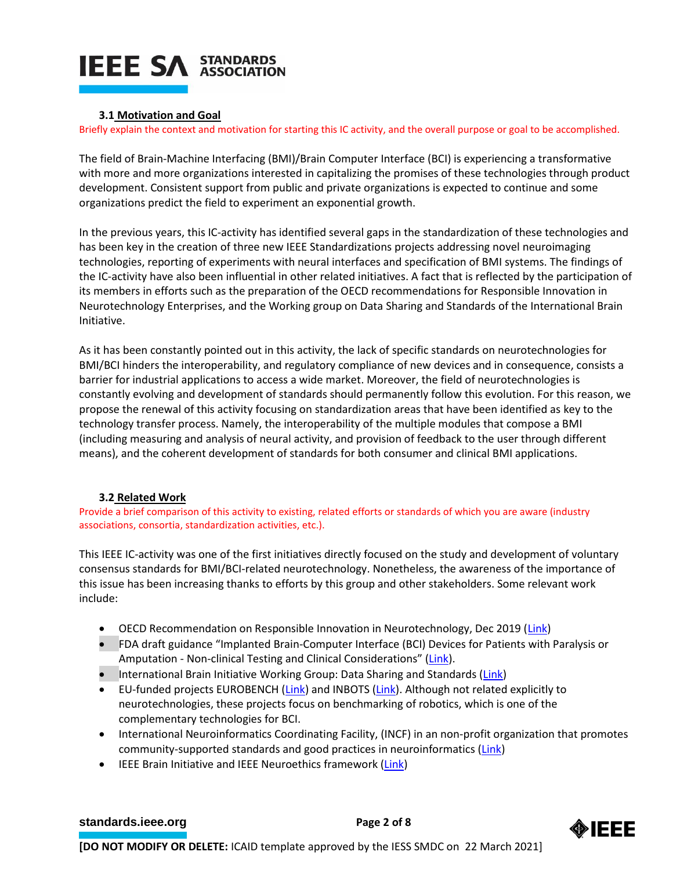# **3.1 Motivation and Goal**

Briefly explain the context and motivation for starting this IC activity, and the overall purpose or goal to be accomplished.

The field of Brain-Machine Interfacing (BMI)/Brain Computer Interface (BCI) is experiencing a transformative with more and more organizations interested in capitalizing the promises of these technologies through product development. Consistent support from public and private organizations is expected to continue and some organizations predict the field to experiment an exponential growth.

In the previous years, this IC-activity has identified several gaps in the standardization of these technologies and has been key in the creation of three new IEEE Standardizations projects addressing novel neuroimaging technologies, reporting of experiments with neural interfaces and specification of BMI systems. The findings of the IC-activity have also been influential in other related initiatives. A fact that is reflected by the participation of its members in efforts such as the preparation of the OECD recommendations for Responsible Innovation in Neurotechnology Enterprises, and the Working group on Data Sharing and Standards of the International Brain Initiative.

As it has been constantly pointed out in this activity, the lack of specific standards on neurotechnologies for BMI/BCI hinders the interoperability, and regulatory compliance of new devices and in consequence, consists a barrier for industrial applications to access a wide market. Moreover, the field of neurotechnologies is constantly evolving and development of standards should permanently follow this evolution. For this reason, we propose the renewal of this activity focusing on standardization areas that have been identified as key to the technology transfer process. Namely, the interoperability of the multiple modules that compose a BMI (including measuring and analysis of neural activity, and provision of feedback to the user through different means), and the coherent development of standards for both consumer and clinical BMI applications.

# **3.2 Related Work**

Provide a brief comparison of this activity to existing, related efforts or standards of which you are aware (industry associations, consortia, standardization activities, etc.).

This IEEE IC-activity was one of the first initiatives directly focused on the study and development of voluntary consensus standards for BMI/BCI-related neurotechnology. Nonetheless, the awareness of the importance of this issue has been increasing thanks to efforts by this group and other stakeholders. Some relevant work include:

- OECD Recommendation on Responsible Innovation in Neurotechnology, Dec 2019 [\(Link\)](https://www.oecd.org/science/recommendation-on-responsible-innovation-in-neurotechnology.htm)
- FDA draft guidance "Implanted Brain-Computer Interface (BCI) Devices for Patients with Paralysis or Amputation - Non-clinical Testing and Clinical Considerations" ([Link\)](https://www.fda.gov/regulatory-information/search-fda-guidance-documents/implanted-brain-computer-interface-bci-devices-patients-paralysis-or-amputation-non-clinical-testing).
- International Brain Initiative Working Group: Data Sharing and Standards [\(Link\)](https://www.internationalbraininitiative.org/data-standards-and-sharing-working-group)
- EU-funded projects EUROBENCH [\(Link\)](http://inbots.eu/) and INBOTS (Link). Although not related explicitly to neurotechnologies, these projects focus on benchmarking of robotics, which is one of the complementary technologies for BCI.
- International Neuroinformatics Coordinating Facility, (INCF) in an non-profit organization that promotes community-supported standards and good practices in neuroinformatics [\(Link\)](https://www.incf.org/)
- IEEE Brain Initiative and IEEE Neuroethics framework [\(Link\)](https://brain.ieee.org/)

# **[standards.ieee.org](http://standards.ieee.org/)**<br> **Page 2 of 8**

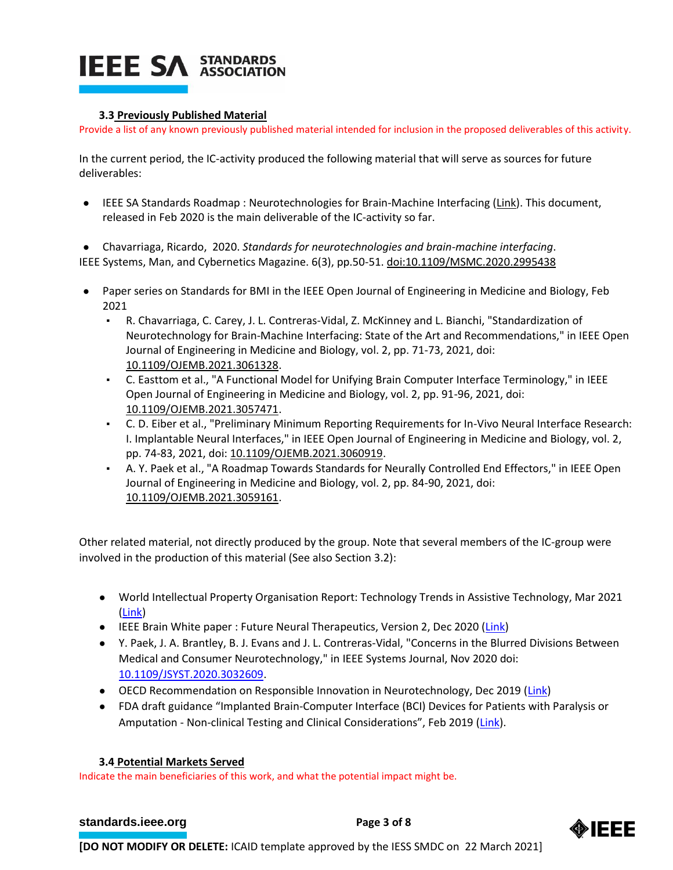## **3.3 Previously Published Material**

Provide a list of any known previously published material intended for inclusion in the proposed deliverables of this activity.

In the current period, the IC-activity produced the following material that will serve as sources for future deliverables:

● IEEE SA Standards Roadmap : Neurotechnologies for Brain-Machine Interfacing [\(Link\)](https://ieeexplore.ieee.org/document/9007002). This document, released in Feb 2020 is the main deliverable of the IC-activity so far.

● Chavarriaga, Ricardo, 2020. *Standards for neurotechnologies and brain-machine interfacing*. IEEE Systems, Man, and Cybernetics Magazine. 6(3), pp.50-51. [doi:10.1109/MSMC.2020.2995438](https://doi.org/10.1109/MSMC.2020.2995438)

- Paper series on Standards for BMI in the IEEE Open Journal of Engineering in Medicine and Biology, Feb 2021
	- R. Chavarriaga, C. Carey, J. L. Contreras-Vidal, Z. McKinney and L. Bianchi, "Standardization of Neurotechnology for Brain-Machine Interfacing: State of the Art and Recommendations," in IEEE Open Journal of Engineering in Medicine and Biology, vol. 2, pp. 71-73, 2021, doi: [10.1109/OJEMB.2021.3061328.](https://doi.org/10.1109/OJEMB.2021.3061328)
	- C. Easttom et al., "A Functional Model for Unifying Brain Computer Interface Terminology," in IEEE Open Journal of Engineering in Medicine and Biology, vol. 2, pp. 91-96, 2021, doi: [10.1109/OJEMB.2021.3057471.](https://doi.org/10.1109/OJEMB.2021.3057471)
	- C. D. Eiber et al., "Preliminary Minimum Reporting Requirements for In-Vivo Neural Interface Research: I. Implantable Neural Interfaces," in IEEE Open Journal of Engineering in Medicine and Biology, vol. 2, pp. 74-83, 2021, doi: [10.1109/OJEMB.2021.3060919.](https://doi.org/10.1109/OJEMB.2021.3060919)
	- A. Y. Paek et al., "A Roadmap Towards Standards for Neurally Controlled End Effectors," in IEEE Open Journal of Engineering in Medicine and Biology, vol. 2, pp. 84-90, 2021, doi: [10.1109/OJEMB.2021.3059161.](https://doi.org/10.1109/OJEMB.2021.3059161)

Other related material, not directly produced by the group. Note that several members of the IC-group were involved in the production of this material (See also Section 3.2):

- World Intellectual Property Organisation Report: Technology Trends in Assistive Technology, Mar 2021 [\(Link\)](https://www.wipo.int/tech_trends/en/assistive_technology)
- IEEE Brain White paper : Future Neural Therapeutics, Version 2, Dec 2020 [\(Link\)](https://brain.ieee.org/wp-content/uploads/sites/52/2020/12/Future-Neural-Therapeutics-WP_v2.pdf)
- Y. Paek, J. A. Brantley, B. J. Evans and J. L. Contreras-Vidal, "Concerns in the Blurred Divisions Between Medical and Consumer Neurotechnology," in IEEE Systems Journal, Nov 2020 doi: [10.1109/JSYST.2020.3032609.](https://doi.org/10.1109/JSYST.2020.3032609)
- OECD Recommendation on Responsible Innovation in Neurotechnology, Dec 2019 [\(Link\)](https://www.oecd.org/science/recommendation-on-responsible-innovation-in-neurotechnology.htm)
- FDA draft guidance "Implanted Brain-Computer Interface (BCI) Devices for Patients with Paralysis or Amputation - Non-clinical Testing and Clinical Considerations", Feb 2019 ([Link\)](https://www.fda.gov/regulatory-information/search-fda-guidance-documents/implanted-brain-computer-interface-bci-devices-patients-paralysis-or-amputation-non-clinical-testing).

### **3.4 Potential Markets Served**

Indicate the main beneficiaries of this work, and what the potential impact might be.

### **[standards.ieee.org](http://standards.ieee.org/)**<br> **Page 3 of 8**

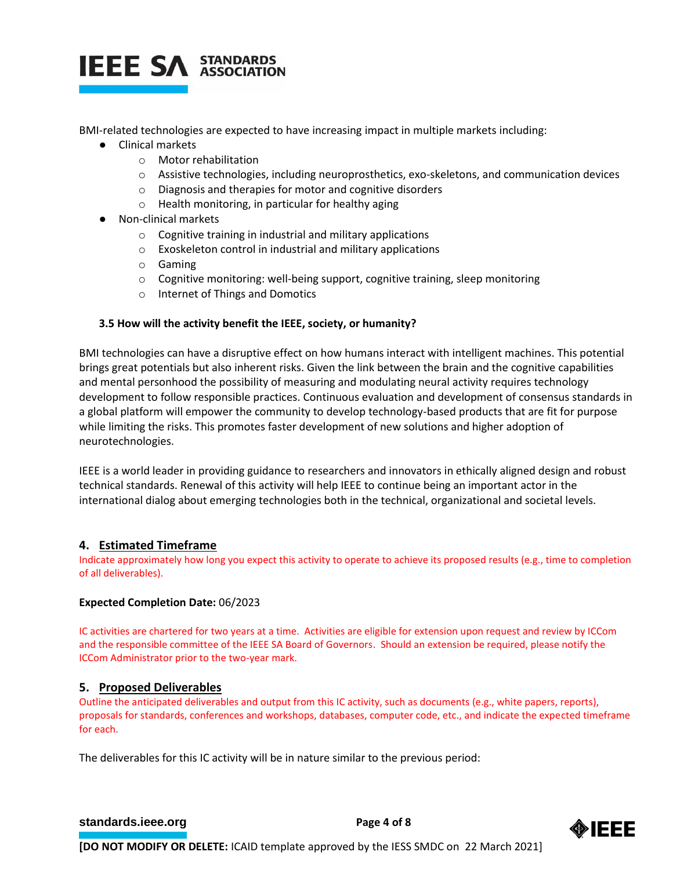

BMI-related technologies are expected to have increasing impact in multiple markets including:

- Clinical markets
	- o Motor rehabilitation
	- o Assistive technologies, including neuroprosthetics, exo-skeletons, and communication devices
	- o Diagnosis and therapies for motor and cognitive disorders
	- o Health monitoring, in particular for healthy aging
- Non-clinical markets
	- o Cognitive training in industrial and military applications
	- o Exoskeleton control in industrial and military applications
	- o Gaming
	- $\circ$  Cognitive monitoring: well-being support, cognitive training, sleep monitoring
	- o Internet of Things and Domotics

# **3.5 How will the activity benefit the IEEE, society, or humanity?**

BMI technologies can have a disruptive effect on how humans interact with intelligent machines. This potential brings great potentials but also inherent risks. Given the link between the brain and the cognitive capabilities and mental personhood the possibility of measuring and modulating neural activity requires technology development to follow responsible practices. Continuous evaluation and development of consensus standards in a global platform will empower the community to develop technology-based products that are fit for purpose while limiting the risks. This promotes faster development of new solutions and higher adoption of neurotechnologies.

IEEE is a world leader in providing guidance to researchers and innovators in ethically aligned design and robust technical standards. Renewal of this activity will help IEEE to continue being an important actor in the international dialog about emerging technologies both in the technical, organizational and societal levels.

# **4. Estimated Timeframe**

Indicate approximately how long you expect this activity to operate to achieve its proposed results (e.g., time to completion of all deliverables).

### **Expected Completion Date:** 06/2023

IC activities are chartered for two years at a time. Activities are eligible for extension upon request and review by ICCom and the responsible committee of the IEEE SA Board of Governors. Should an extension be required, please notify the ICCom Administrator prior to the two-year mark.

# **5. Proposed Deliverables**

Outline the anticipated deliverables and output from this IC activity, such as documents (e.g., white papers, reports), proposals for standards, conferences and workshops, databases, computer code, etc., and indicate the expected timeframe for each.

The deliverables for this IC activity will be in nature similar to the previous period:

# **[standards.ieee.org](http://standards.ieee.org/) EXECUTE: Page 4 of 8**

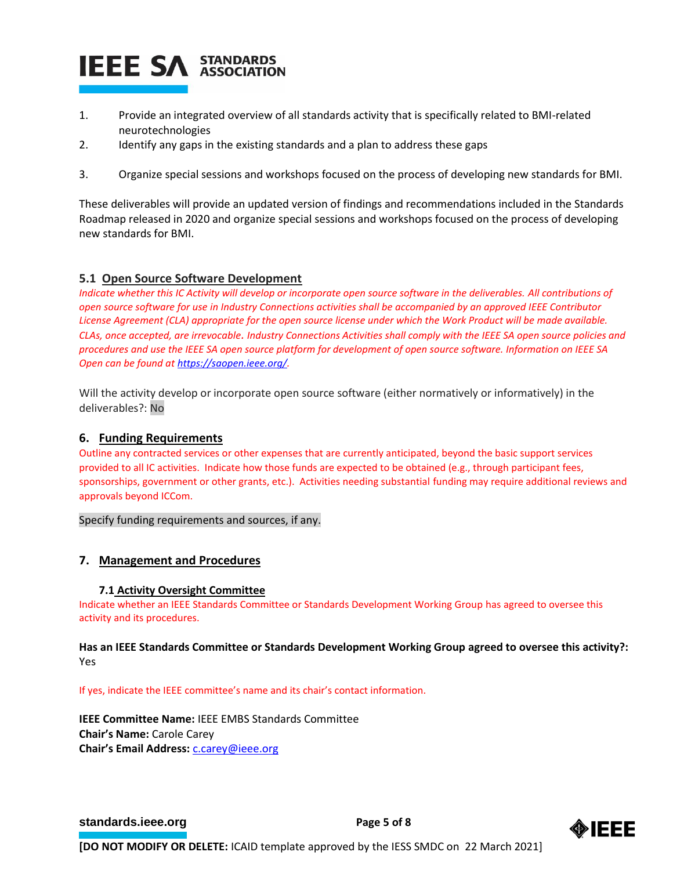- 1. Provide an integrated overview of all standards activity that is specifically related to BMI-related neurotechnologies
- 2. Identify any gaps in the existing standards and a plan to address these gaps
- 3. Organize special sessions and workshops focused on the process of developing new standards for BMI.

These deliverables will provide an updated version of findings and recommendations included in the Standards Roadmap released in 2020 and organize special sessions and workshops focused on the process of developing new standards for BMI.

# **5.1 Open Source Software Development**

*Indicate whether this IC Activity will develop or incorporate open source software in the deliverables. All contributions of open source software for use in Industry Connections activities shall be accompanied by an approved IEEE Contributor License Agreement (CLA) appropriate for the open source license under which the Work Product will be made available. CLAs, once accepted, are irrevocable. Industry Connections Activities shall comply with the IEEE SA open source policies and procedures and use the IEEE SA open source platform for development of open source software. Information on IEEE SA Open can be found a[t https://saopen.ieee.org/.](https://saopen.ieee.org/)* 

Will the activity develop or incorporate open source software (either normatively or informatively) in the deliverables?: No

## **6. Funding Requirements**

Outline any contracted services or other expenses that are currently anticipated, beyond the basic support services provided to all IC activities. Indicate how those funds are expected to be obtained (e.g., through participant fees, sponsorships, government or other grants, etc.). Activities needing substantial funding may require additional reviews and approvals beyond ICCom.

Specify funding requirements and sources, if any.

# **7. Management and Procedures**

### **7.1 Activity Oversight Committee**

Indicate whether an IEEE Standards Committee or Standards Development Working Group has agreed to oversee this activity and its procedures.

## **Has an IEEE Standards Committee or Standards Development Working Group agreed to oversee this activity?:** Yes

If yes, indicate the IEEE committee's name and its chair's contact information.

**IEEE Committee Name:** IEEE EMBS Standards Committee **Chair's Name:** Carole Carey Chair's Email Address: **C.carey@ieee.org** 

### **[standards.ieee.org](http://standards.ieee.org/) EXECUTE: Page 5 of 8**

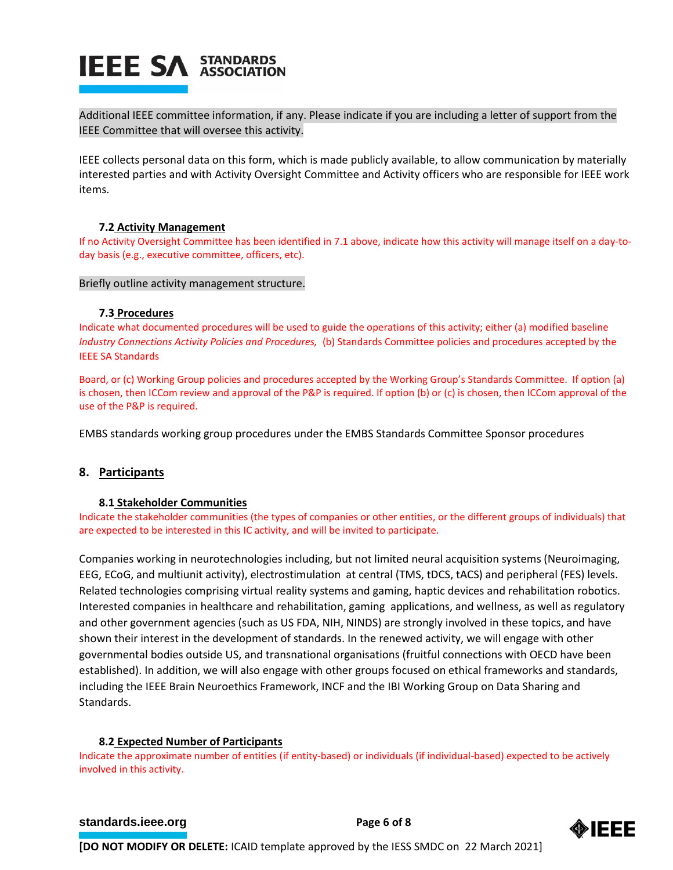Additional IEEE committee information, if any. Please indicate if you are including a letter of support from the IEEE Committee that will oversee this activity.

IEEE collects personal data on this form, which is made publicly available, to allow communication by materially interested parties and with Activity Oversight Committee and Activity officers who are responsible for IEEE work items.

## **7.2 Activity Management**

If no Activity Oversight Committee has been identified in 7.1 above, indicate how this activity will manage itself on a day-today basis (e.g., executive committee, officers, etc).

### Briefly outline activity management structure.

#### **7.3 Procedures**

Indicate what documented procedures will be used to guide the operations of this activity; either (a) modified baseline *Industry Connections Activity Policies and Procedures,* (b) Standards Committee policies and procedures accepted by the IEEE SA Standards

Board, or (c) Working Group policies and procedures accepted by the Working Group's Standards Committee. If option (a) is chosen, then ICCom review and approval of the P&P is required. If option (b) or (c) is chosen, then ICCom approval of the use of the P&P is required.

EMBS standards working group procedures under the EMBS Standards Committee Sponsor procedures

# **8. Participants**

### **8.1 Stakeholder Communities**

Indicate the stakeholder communities (the types of companies or other entities, or the different groups of individuals) that are expected to be interested in this IC activity, and will be invited to participate.

Companies working in neurotechnologies including, but not limited neural acquisition systems (Neuroimaging, EEG, ECoG, and multiunit activity), electrostimulation at central (TMS, tDCS, tACS) and peripheral (FES) levels. Related technologies comprising virtual reality systems and gaming, haptic devices and rehabilitation robotics. Interested companies in healthcare and rehabilitation, gaming applications, and wellness, as well as regulatory and other government agencies (such as US FDA, NIH, NINDS) are strongly involved in these topics, and have shown their interest in the development of standards. In the renewed activity, we will engage with other governmental bodies outside US, and transnational organisations (fruitful connections with OECD have been established). In addition, we will also engage with other groups focused on ethical frameworks and standards, including the IEEE Brain Neuroethics Framework, INCF and the IBI Working Group on Data Sharing and Standards.

### **8.2 Expected Number of Participants**

Indicate the approximate number of entities (if entity-based) or individuals (if individual-based) expected to be actively involved in this activity.

### **[standards.ieee.org](http://standards.ieee.org/)**<br> **Page 6** of 8

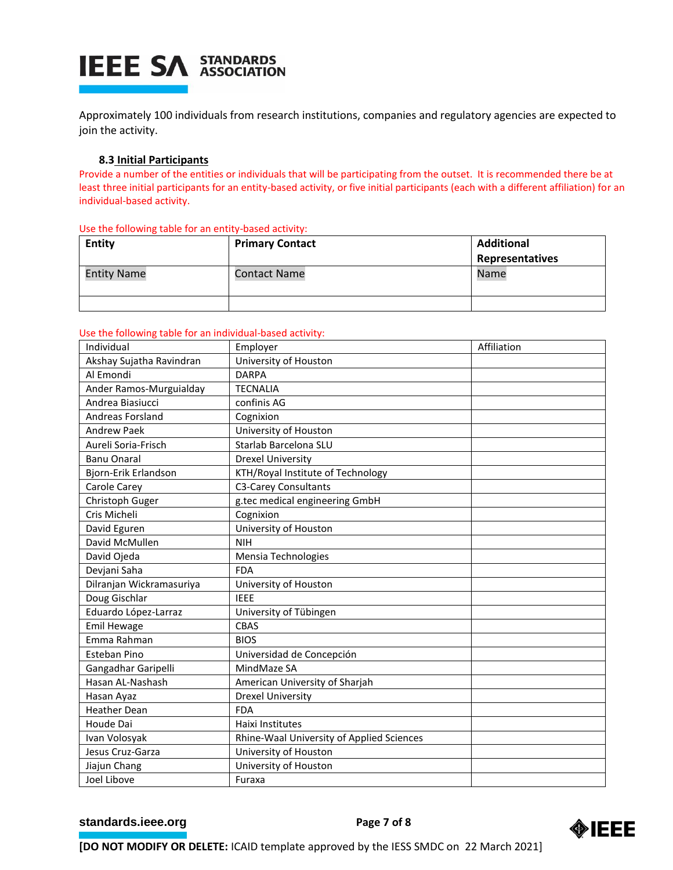Approximately 100 individuals from research institutions, companies and regulatory agencies are expected to join the activity.

### **8.3 Initial Participants**

Provide a number of the entities or individuals that will be participating from the outset. It is recommended there be at least three initial participants for an entity-based activity, or five initial participants (each with a different affiliation) for an individual-based activity.

| <b>Entity</b>      | <b>Primary Contact</b> | <b>Additional</b><br>Representatives |
|--------------------|------------------------|--------------------------------------|
| <b>Entity Name</b> | <b>Contact Name</b>    | Name                                 |
|                    |                        |                                      |

#### Use the following table for an entity-based activity:

Use the following table for an individual-based activity:

| Individual               | Employer                                  | Affiliation |
|--------------------------|-------------------------------------------|-------------|
| Akshay Sujatha Ravindran | University of Houston                     |             |
| Al Emondi                | <b>DARPA</b>                              |             |
| Ander Ramos-Murguialday  | <b>TECNALIA</b>                           |             |
| Andrea Biasiucci         | confinis AG                               |             |
| Andreas Forsland         | Cognixion                                 |             |
| <b>Andrew Paek</b>       | University of Houston                     |             |
| Aureli Soria-Frisch      | Starlab Barcelona SLU                     |             |
| <b>Banu Onaral</b>       | <b>Drexel University</b>                  |             |
| Bjorn-Erik Erlandson     | KTH/Royal Institute of Technology         |             |
| Carole Carey             | C3-Carey Consultants                      |             |
| Christoph Guger          | g.tec medical engineering GmbH            |             |
| Cris Micheli             | Cognixion                                 |             |
| David Eguren             | University of Houston                     |             |
| David McMullen           | <b>NIH</b>                                |             |
| David Ojeda              | Mensia Technologies                       |             |
| Devjani Saha             | <b>FDA</b>                                |             |
| Dilranjan Wickramasuriya | University of Houston                     |             |
| Doug Gischlar            | <b>IEEE</b>                               |             |
| Eduardo López-Larraz     | University of Tübingen                    |             |
| <b>Emil Hewage</b>       | <b>CBAS</b>                               |             |
| Emma Rahman              | <b>BIOS</b>                               |             |
| <b>Esteban Pino</b>      | Universidad de Concepción                 |             |
| Gangadhar Garipelli      | MindMaze SA                               |             |
| Hasan AL-Nashash         | American University of Sharjah            |             |
| Hasan Ayaz               | <b>Drexel University</b>                  |             |
| <b>Heather Dean</b>      | <b>FDA</b>                                |             |
| Houde Dai                | Haixi Institutes                          |             |
| Ivan Volosyak            | Rhine-Waal University of Applied Sciences |             |
| Jesus Cruz-Garza         | University of Houston                     |             |
| Jiajun Chang             | University of Houston                     |             |
| Joel Libove              | Furaxa                                    |             |

## **[standards.ieee.org](http://standards.ieee.org/) Brandards.ieee.org Brandards.ieee.org Brandards.ieee.org Brandards.ieee.org Brandards.ieee.org Brandards.ieee.org Brandards.ieee.org Brandards.ieee.org Brandards.ieee.org Brandards**